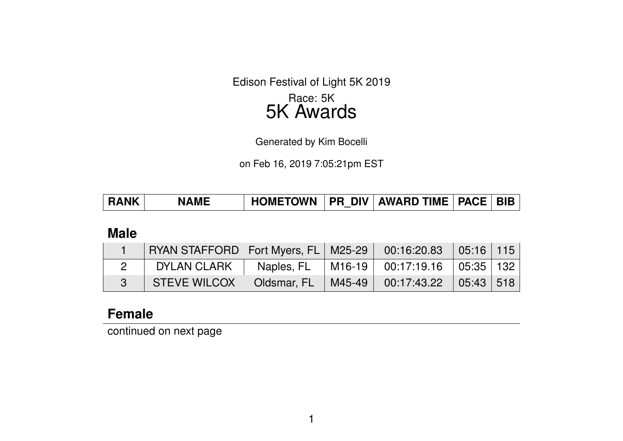Edison Festival of Light 5K 2019 Race: 5K

# 5K Awards

Generated by Kim Bocelli

on Feb 16, 2019 7:05:21pm EST

| <b>RANK</b> | <b>NAME</b> | <b>HOMETOWN</b> |  | <b>PR DIV AWARD TIME PACE</b> |  |  |
|-------------|-------------|-----------------|--|-------------------------------|--|--|
|-------------|-------------|-----------------|--|-------------------------------|--|--|

### **Male**

| RYAN STAFFORD   Fort Myers, FL   M25-29   00:16:20.83   05:16   115 |  |                                                 |  |
|---------------------------------------------------------------------|--|-------------------------------------------------|--|
| DYLAN CLARK                                                         |  | Naples, FL   M16-19   00:17:19.16   05:35   132 |  |
| STEVE WILCOX   Oldsmar, FL   M45-49   00:17:43.22   05:43   518     |  |                                                 |  |

# **Female**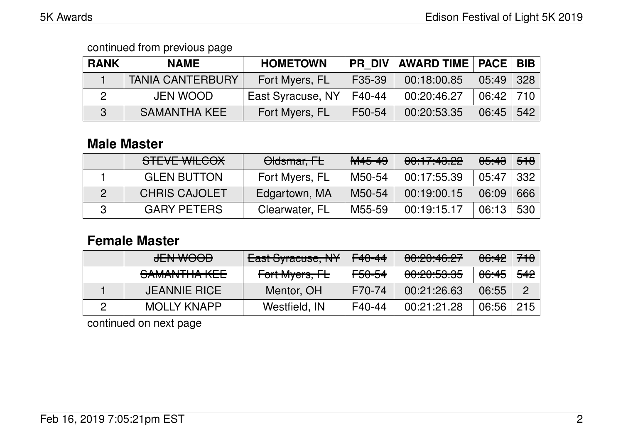| <b>RANK</b> | <b>NAME</b>             | <b>HOMETOWN</b>   | <b>PR DIV</b> | <b>AWARD TIME   PACE   BIB  </b> |               |                   |
|-------------|-------------------------|-------------------|---------------|----------------------------------|---------------|-------------------|
|             | <b>TANIA CANTERBURY</b> | Fort Myers, FL    | F35-39        | 00:18:00.85                      | 05:49         | $\mid$ 328 $\mid$ |
|             | <b>JEN WOOD</b>         | East Syracuse, NY | F40-44        | 00:20:46.27                      | $06:42$   710 |                   |
|             | <b>SAMANTHA KEE</b>     | Fort Myers, FL    | F50-54        | 00:20:53.35                      | 06:45         | 542               |

### **Male Master**

| STEVE WILCOX         | Oldsmar, FL    | M45-49 | 00:17:43.22 |       |     |
|----------------------|----------------|--------|-------------|-------|-----|
| <b>GLEN BUTTON</b>   | Fort Myers, FL | M50-54 | 00:17:55.39 | 05:47 | 332 |
| <b>CHRIS CAJOLET</b> | Edgartown, MA  | M50-54 | 00:19:00.15 | 06:09 | 666 |
| <b>GARY PETERS</b>   | Clearwater, FL | M55-59 | 00:19:15.17 | 06:13 | 530 |

# **Female Master**

| <b>JEN WOOD</b>     | East Syracuse, NY | F <sub>40</sub> -44 | 00:20:46.27 |                  |                |
|---------------------|-------------------|---------------------|-------------|------------------|----------------|
| SAMANTHA KEE        | Fort Myers, FL    | <del>F50-54</del>   | 00:20:53.35 | <del>06:45</del> | <del>542</del> |
| <b>JEANNIE RICE</b> | Mentor, OH        | F70-74              | 00:21:26.63 | 06:55            |                |
| <b>MOLLY KNAPP</b>  | Westfield, IN     | F40-44              | 00:21:21.28 | 06:56            | 215            |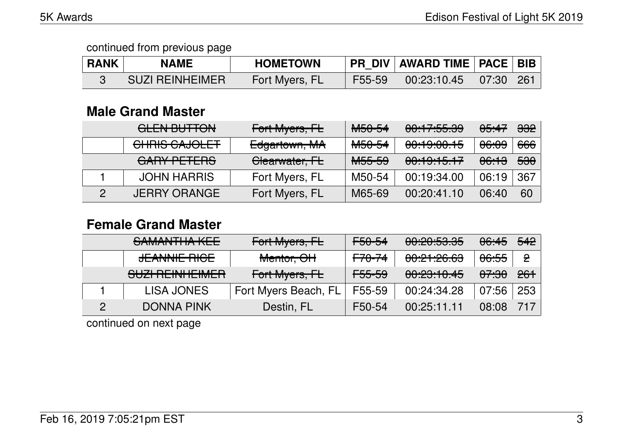| <b>RANK</b> | <b>NAME</b>            | <b>HOMETOWN</b> |        | PR_DIV   AWARD TIME   PACE   BIB                  |  |
|-------------|------------------------|-----------------|--------|---------------------------------------------------|--|
|             | <b>SUZI REINHEIMER</b> | Fort Myers, FL  | F55-59 | $\mid$ 00:23:10.45 $\mid$ 07:30 $\mid$ 261 $\mid$ |  |

# **Male Grand Master**

| <u>ALENLDLITTAN</u><br><u>ULLIY DUTTUN</u> | Fort Myers, FL | M <sub>50-54</sub> | 0.47.EE<br><u>00.17.00.00</u>      | <del>05:47</del> | <del>332</del> |
|--------------------------------------------|----------------|--------------------|------------------------------------|------------------|----------------|
| CHRIS CAJOLET                              | Edgartown, MA  | M <sub>50-54</sub> | 0.100015<br><del>UU.TJ.UU.TJ</del> | <del>06:09</del> | 666            |
| GARY PETERS                                | Clearwater, FL | <del>M55-59</del>  | 00:19:15.17                        | <del>06:13</del> | <del>530</del> |
| <b>JOHN HARRIS</b>                         | Fort Myers, FL | M50-54             | 00:19:34.00                        | 06:19            | 367            |
| <b>JERRY ORANGE</b>                        | Fort Myers, FL | M65-69             | 00:20:41.10                        | 06:40            | 60             |

### **Female Grand Master**

| SAMANTHA KEE        | Fort Myers, FL       | <del>F50-54</del> | 00:20:53.35                       | <del>06:45</del> | <del>542</del> |
|---------------------|----------------------|-------------------|-----------------------------------|------------------|----------------|
| <b>JEANNIE RIGE</b> | Mentor, OH           | <del>F70-74</del> | <u>00.01.00.00</u><br>00.71.20.00 | <del>06:55</del> | $\mathbf{P}$   |
| SUZI REINHEIMER     | Fort Myers, FL       | <del>F55-59</del> | 00:23:10.45                       | <del>07:30</del> | <del>261</del> |
| LISA JONES          | Fort Myers Beach, FL | F55-59            | 00:24:34.28                       | 07:56            | 253            |
| <b>DONNA PINK</b>   | Destin, FL           | F50-54            | 00:25:11.11                       | 08:08            | 717            |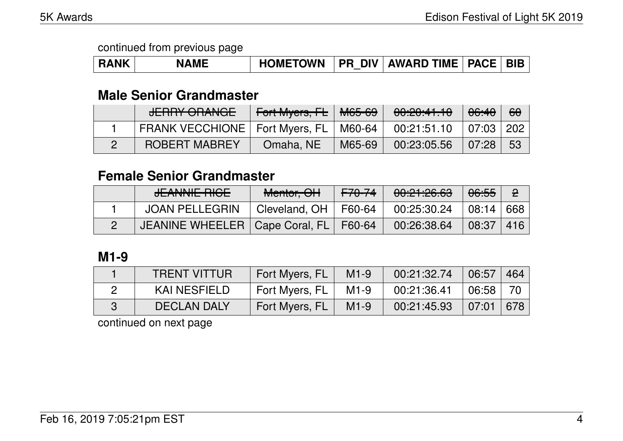### **Male Senior Grandmaster**

| <b>JERRY ORANGE</b>                       | Fort Myers, FL   M65-69 |        | 00:20:41.10 | 06:40     | <u>୫୫</u> |
|-------------------------------------------|-------------------------|--------|-------------|-----------|-----------|
| FRANK VECCHIONE   Fort Myers, FL   M60-64 |                         |        | 00:21:51.10 | 07:03 202 |           |
| <b>ROBERT MABREY</b>                      | Omaha, NE               | M65-69 | 00:23:05.56 | 07:28     | - 53      |

# **Female Senior Grandmaster**

| <b>JEANINUE DICE</b>                      | Mentor, OH               | <del>F70-74</del> | 00:21:26.63 | 06:55               |        |
|-------------------------------------------|--------------------------|-------------------|-------------|---------------------|--------|
| JOAN PELLEGRIN                            | Cleveland, $OH$   F60-64 |                   | 00:25:30.24 | $\mid$ 08:14 $\mid$ | 668    |
| JEANINE WHEELER   Cape Coral, FL   F60-64 |                          |                   | 00:26:38.64 | 08:37               | $-416$ |

### **M1-9**

| <b>TRENT VITTUR</b> | Fort Myers, FL | $M1-9$ | 00:21:32.74 | 06:57 | 464 |
|---------------------|----------------|--------|-------------|-------|-----|
| KAI NESFIELD        | Fort Myers, FL | $M1-9$ | 00:21:36.41 | 06:58 |     |
| <b>DECLAN DALY</b>  | Fort Myers, FL | $M1-9$ | 00:21:45.93 | 07:01 | 678 |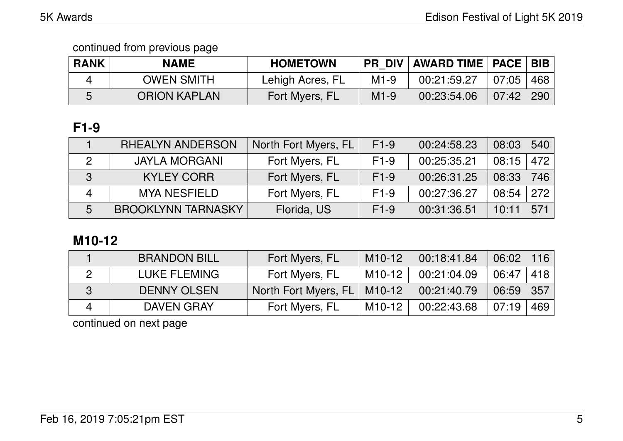| <b>RANK</b> | <b>NAME</b>         | <b>HOMETOWN</b>  |        | PR_DIV   AWARD TIME   PACE   BIB |       |     |
|-------------|---------------------|------------------|--------|----------------------------------|-------|-----|
|             | <b>OWEN SMITH</b>   | Lehigh Acres, FL | $M1-9$ | 00:21:59.27                      | 07:05 | 468 |
|             | <b>ORION KAPLAN</b> | Fort Myers, FL   | $M1-9$ | 00:23:54.06                      | 07:42 | 290 |

# **F1-9**

|                   | <b>RHEALYN ANDERSON</b>   | North Fort Myers, FL | $F1-9$ | 00:24:58.23 | 08:03 | 540 |
|-------------------|---------------------------|----------------------|--------|-------------|-------|-----|
| $\mathcal{P}$     | <b>JAYLA MORGANI</b>      | Fort Myers, FL       | $F1-9$ | 00:25:35.21 | 08:15 | 472 |
| $\lceil 3 \rceil$ | <b>KYLEY CORR</b>         | Fort Myers, FL       | $F1-9$ | 00:26:31.25 | 08:33 | 746 |
|                   | <b>MYA NESFIELD</b>       | Fort Myers, FL       | $F1-9$ | 00:27:36.27 | 08:54 | 272 |
| 5                 | <b>BROOKLYNN TARNASKY</b> | Florida, US          | $F1-9$ | 00:31:36.51 | 10:11 | 571 |

# **M10-12**

|   | <b>BRANDON BILL</b> | Fort Myers, FL       | M10-12 | 00:18:41.84 | 06:02 | 116 |
|---|---------------------|----------------------|--------|-------------|-------|-----|
|   | LUKE FLEMING        | Fort Myers, FL       | M10-12 | 00:21:04.09 | 06:47 | 418 |
| 3 | <b>DENNY OLSEN</b>  | North Fort Myers, FL | M10-12 | 00:21:40.79 | 06:59 | 357 |
|   | <b>DAVEN GRAY</b>   | Fort Myers, FL       | M10-12 | 00:22:43.68 | 07:19 | 469 |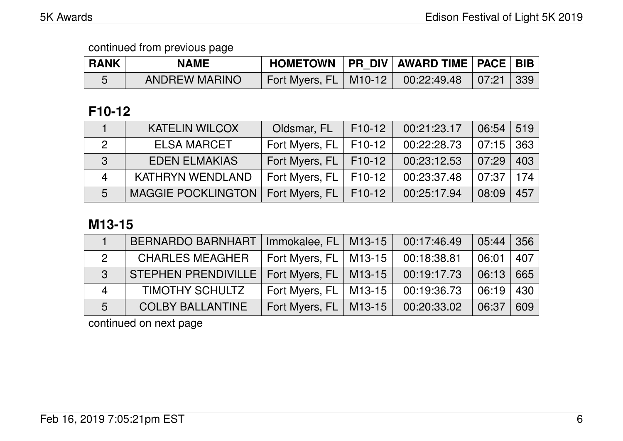| <b>RANK</b> | <b>NAME</b>          |                                                     | HOMETOWN   PR DIV   AWARD TIME   PACE   BIB |  |
|-------------|----------------------|-----------------------------------------------------|---------------------------------------------|--|
|             | <b>ANDREW MARINO</b> | Fort Myers, FL   M10-12   00:22:49.48   07:21   339 |                                             |  |

# **F10-12**

|                | <b>KATELIN WILCOX</b>                        | Oldsmar, FL               | $\vert$ F10-12 | 00:21:23.17 | 06:54       | 519 |
|----------------|----------------------------------------------|---------------------------|----------------|-------------|-------------|-----|
| 2              | <b>ELSA MARCET</b>                           | Fort Myers, $FL$   F10-12 |                | 00:22:28.73 | $07:15$ 363 |     |
| 3              | <b>EDEN ELMAKIAS</b>                         | Fort Myers, FL   F10-12   |                | 00:23:12.53 | 07:29       | 403 |
| $\overline{4}$ | <b>KATHRYN WENDLAND</b>                      | Fort Myers, FL   F10-12   |                | 00:23:37.48 | 07:37       | 174 |
| 5              | MAGGIE POCKLINGTON   Fort Myers, FL   F10-12 |                           |                | 00:25:17.94 | 08:09       | 457 |

# **M13-15**

|                        | <b>BERNARDO BARNHART</b>                      | Immokalee, $FL$   M13-15     | 00:17:46.49 | 05:44 | $\vert$ 356 |
|------------------------|-----------------------------------------------|------------------------------|-------------|-------|-------------|
| $\overline{2}$         | <b>CHARLES MEAGHER</b>                        | Fort Myers, FL   M13-15      | 00:18:38.81 | 06:01 | 407         |
| $\mathcal{S}$          | STEPHEN PRENDIVILLE   Fort Myers, FL   M13-15 |                              | 00:19:17.73 | 06:13 | 665         |
| $\boldsymbol{\Lambda}$ | <b>TIMOTHY SCHULTZ</b>                        | Fort Myers, FL   M13-15      | 00:19:36.73 | 06:19 | 430         |
| 5                      | <b>COLBY BALLANTINE</b>                       | Fort Myers, $FL \mid M13-15$ | 00:20:33.02 | 06:37 | 609         |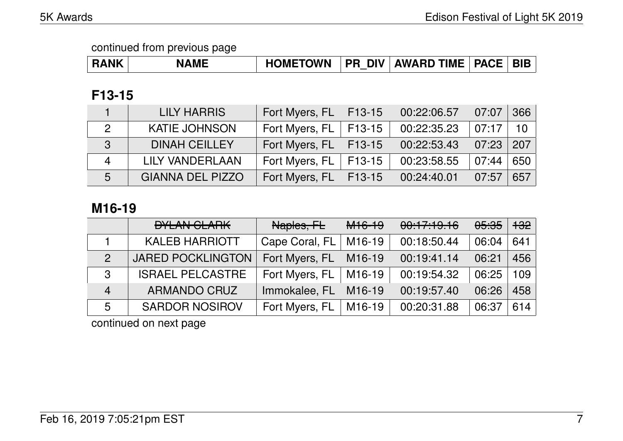| <b>RANK</b> | <b>NAME</b> | <b>HOMETOWN</b> |  | <b>PR DIV AWARD TIME   PACE  </b> |  | <b>BIB</b> |
|-------------|-------------|-----------------|--|-----------------------------------|--|------------|
|-------------|-------------|-----------------|--|-----------------------------------|--|------------|

### **F13-15**

|   | <b>LILY HARRIS</b>      | Fort Myers, FL | $\vert$ F13-15 | 00:22:06.57 | 07:07 | 366 |
|---|-------------------------|----------------|----------------|-------------|-------|-----|
|   | <b>KATIE JOHNSON</b>    | Fort Myers, FL | $\mid$ F13-15  | 00:22:35.23 | 07:17 | 10  |
| 3 | <b>DINAH CEILLEY</b>    | Fort Myers, FL | $\vert$ F13-15 | 00:22:53.43 | 07:23 | 207 |
| Δ | LILY VANDERLAAN         | Fort Myers, FL | $F13-15$       | 00:23:58.55 | 07:44 | 650 |
| 5 | <b>GIANNA DEL PIZZO</b> | Fort Myers, FL | $F13-15$       | 00:24:40.01 | 07:57 | 657 |

# **M16-19**

|                | <b>DYLAN CLARK</b>       | Naples, FL     | <del>M16-19</del>   | 00:17:19.16 | <del>05:35</del> | <del>132</del> ∣ |
|----------------|--------------------------|----------------|---------------------|-------------|------------------|------------------|
|                | <b>KALEB HARRIOTT</b>    | Cape Coral, FL | M16-19              | 00:18:50.44 | 06:04            | 641              |
| 2              | <b>JARED POCKLINGTON</b> | Fort Myers, FL | M <sub>16</sub> -19 | 00:19:41.14 | 06:21            | 456              |
| $\mathbf{3}$   | <b>ISRAEL PELCASTRE</b>  | Fort Myers, FL | M16-19              | 00:19:54.32 | 06:25            | 109              |
| $\overline{4}$ | <b>ARMANDO CRUZ</b>      | Immokalee, FL  | M <sub>16</sub> -19 | 00:19:57.40 | 06:26            | 458              |
| 5              | <b>SARDOR NOSIROV</b>    | Fort Myers, FL | M16-19              | 00:20:31.88 | 06:37            | 614              |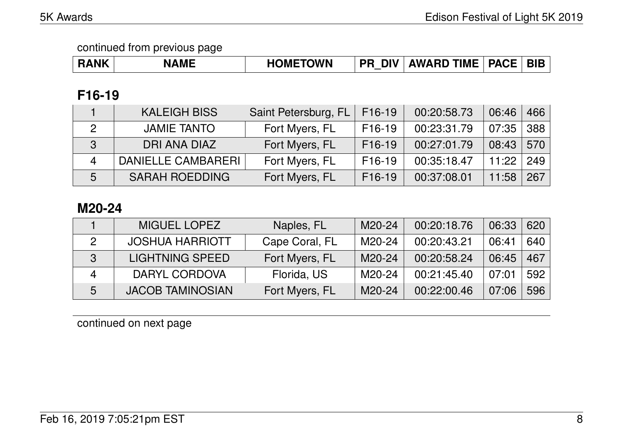| <b>RANK</b> | <b>\ME</b><br>NI <i>r</i> | <b>HOMETOWN</b> | <b>DIV</b><br>PR | <b>AWARD TIME</b> | <b>PACE</b> |  |
|-------------|---------------------------|-----------------|------------------|-------------------|-------------|--|
|-------------|---------------------------|-----------------|------------------|-------------------|-------------|--|

# **F16-19**

|   | <b>KALEIGH BISS</b>   | Saint Petersburg, FL | F <sub>16</sub> -19 | 00:20:58.73 | 06:46 | 466 |
|---|-----------------------|----------------------|---------------------|-------------|-------|-----|
|   | <b>JAMIE TANTO</b>    | Fort Myers, FL       | $F16-19$            | 00:23:31.79 | 07:35 | 388 |
| 3 | DRI ANA DIAZ          | Fort Myers, FL       | F <sub>16</sub> -19 | 00:27:01.79 | 08:43 | 570 |
| 4 | DANIELLE CAMBARERI    | Fort Myers, FL       | $F16-19$            | 00:35:18.47 | 11:22 | 249 |
| 5 | <b>SARAH ROEDDING</b> | Fort Myers, FL       | $F16-19$            | 00:37:08.01 | 11:58 | 267 |

# **M20-24**

|   | <b>MIGUEL LOPEZ</b>     | Naples, FL     | M20-24 | 00:20:18.76 | 06:33 | 620 |
|---|-------------------------|----------------|--------|-------------|-------|-----|
|   | <b>JOSHUA HARRIOTT</b>  | Cape Coral, FL | M20-24 | 00:20:43.21 | 06:41 | 640 |
| 3 | <b>LIGHTNING SPEED</b>  | Fort Myers, FL | M20-24 | 00:20:58.24 | 06:45 | 467 |
| Δ | DARYL CORDOVA           | Florida, US    | M20-24 | 00:21:45.40 | 07:01 | 592 |
| 5 | <b>JACOB TAMINOSIAN</b> | Fort Myers, FL | M20-24 | 00:22:00.46 | 07:06 | 596 |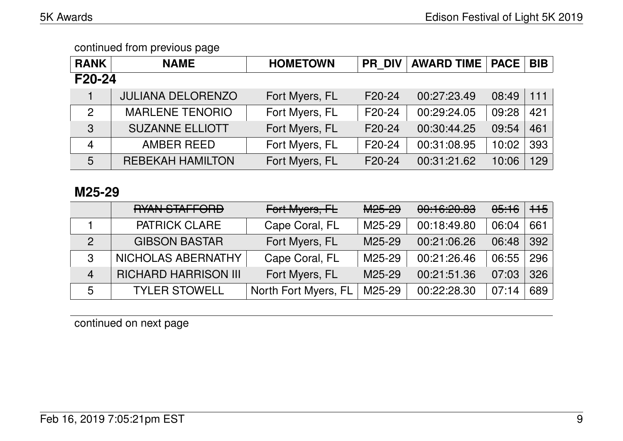| <b>RANK</b>    | <b>NAME</b>              | <b>HOMETOWN</b> | <b>PR DIV</b> | <b>AWARD TIME</b> | <b>PACE</b> | <b>BIB</b> |
|----------------|--------------------------|-----------------|---------------|-------------------|-------------|------------|
| F20-24         |                          |                 |               |                   |             |            |
|                | <b>JULIANA DELORENZO</b> | Fort Myers, FL  | F20-24        | 00:27:23.49       | 08:49       | 111        |
| 2              | <b>MARLENE TENORIO</b>   | Fort Myers, FL  | F20-24        | 00:29:24.05       | 09:28       | 421        |
| $\mathbf{3}$   | <b>SUZANNE ELLIOTT</b>   | Fort Myers, FL  | F20-24        | 00:30:44.25       | 09:54       | 461        |
| $\overline{4}$ | <b>AMBER REED</b>        | Fort Myers, FL  | F20-24        | 00:31:08.95       | 10:02       | 393        |
| 5              | <b>REBEKAH HAMILTON</b>  | Fort Myers, FL  | F20-24        | 00:31:21.62       | 10:06       | 129        |

### **M25-29**

|                | DVAN CTAFFODD<br><u>HIAN JIAH UNU</u> | Fort Myers, FL       | M <sub>25-29</sub> | 00.10,00.02<br><del>uu. iu.20.0J</del> | <del>05:16</del> | $+15$ |
|----------------|---------------------------------------|----------------------|--------------------|----------------------------------------|------------------|-------|
|                | <b>PATRICK CLARE</b>                  | Cape Coral, FL       | M25-29             | 00:18:49.80                            | 06:04            | 661   |
| $\mathcal{P}$  | <b>GIBSON BASTAR</b>                  | Fort Myers, FL       | M25-29             | 00:21:06.26                            | 06:48            | 392   |
| $\mathbf{3}$   | NICHOLAS ABERNATHY                    | Cape Coral, FL       | M25-29             | 00:21:26.46                            | 06:55            | 296   |
| $\overline{4}$ | <b>RICHARD HARRISON III</b>           | Fort Myers, FL       | M25-29             | 00:21:51.36                            | 07:03            | 326   |
| 5              | <b>TYLER STOWELL</b>                  | North Fort Myers, FL | M25-29             | 00:22:28.30                            | 07:14            | 689   |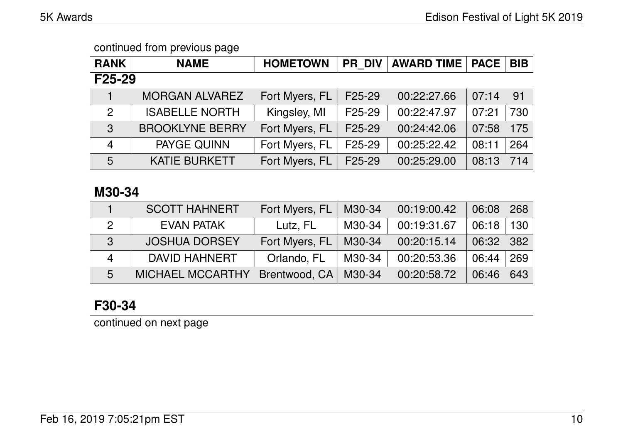| <b>RANK</b>         | <b>NAME</b>            | <b>HOMETOWN</b> | <b>PR DIV</b> | <b>AWARD TIME</b> | <b>PACE</b> | <b>BIB</b> |  |  |
|---------------------|------------------------|-----------------|---------------|-------------------|-------------|------------|--|--|
| F <sub>25</sub> -29 |                        |                 |               |                   |             |            |  |  |
|                     | <b>MORGAN ALVAREZ</b>  | Fort Myers, FL  | F25-29        | 00:22:27.66       | 07:14       | 91         |  |  |
| $\mathcal{P}$       | <b>ISABELLE NORTH</b>  | Kingsley, MI    | F25-29        | 00:22:47.97       | 07:21       | 730        |  |  |
| $\mathbf{3}$        | <b>BROOKLYNE BERRY</b> | Fort Myers, FL  | F25-29        | 00:24:42.06       | 07:58       | 175        |  |  |
| $\overline{4}$      | PAYGE QUINN            | Fort Myers, FL  | F25-29        | 00:25:22.42       | 08:11       | 264        |  |  |
| 5                   | <b>KATIE BURKETT</b>   | Fort Myers, FL  | F25-29        | 00:25:29.00       | 08:13       | 714        |  |  |

### **M30-34**

|                | <b>SCOTT HAHNERT</b>    | Fort Myers, FL | M30-34 | 00:19:00.42 | 06:08 | 268              |
|----------------|-------------------------|----------------|--------|-------------|-------|------------------|
|                | <b>EVAN PATAK</b>       | Lutz, FL       | M30-34 | 00:19:31.67 | 06:18 | 130 <sup>°</sup> |
| 3              | <b>JOSHUA DORSEY</b>    | Fort Myers, FL | M30-34 | 00:20:15.14 | 06:32 | 382              |
| $\overline{4}$ | DAVID HAHNERT           | Orlando, FL    | M30-34 | 00:20:53.36 | 06:44 | 269              |
| 5              | <b>MICHAEL MCCARTHY</b> | Brentwood, CA  | M30-34 | 00:20:58.72 | 06:46 | 643              |

# **F30-34**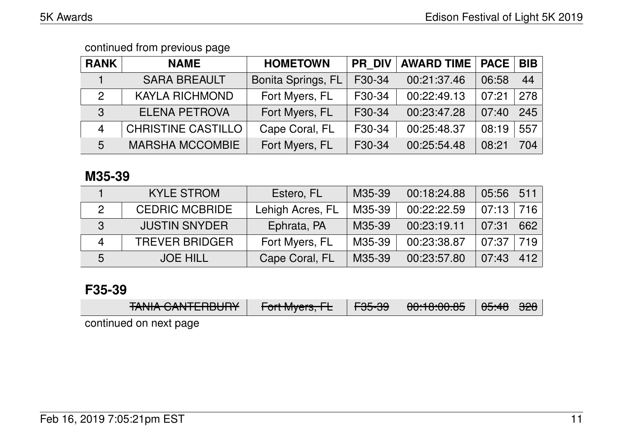| <b>RANK</b>    | <b>NAME</b>               | <b>HOMETOWN</b>    | <b>PR DIV</b> | <b>AWARD TIME</b> | <b>PACE</b> | <b>BIB</b> |
|----------------|---------------------------|--------------------|---------------|-------------------|-------------|------------|
|                | <b>SARA BREAULT</b>       | Bonita Springs, FL | F30-34        | 00:21:37.46       | 06:58       | 44         |
| 2              | <b>KAYLA RICHMOND</b>     | Fort Myers, FL     | F30-34        | 00:22:49.13       | 07:21       | 278        |
| $\mathbf{3}$   | <b>ELENA PETROVA</b>      | Fort Myers, FL     | F30-34        | 00:23:47.28       | 07:40       | 245        |
| $\overline{4}$ | <b>CHRISTINE CASTILLO</b> | Cape Coral, FL     | F30-34        | 00:25:48.37       | 08:19       | 557        |
| $5^{\circ}$    | <b>MARSHA MCCOMBIE</b>    | Fort Myers, FL     | F30-34        | 00:25:54.48       | 08:21       | 704        |

### **M35-39**

|   | <b>KYLE STROM</b>     | Estero, FL       | M35-39 | 00:18:24.88 | 05:56 | 511 |
|---|-----------------------|------------------|--------|-------------|-------|-----|
|   | <b>CEDRIC MCBRIDE</b> | Lehigh Acres, FL | M35-39 | 00:22:22.59 | 07:13 | 716 |
| 3 | <b>JUSTIN SNYDER</b>  | Ephrata, PA      | M35-39 | 00:23:19.11 | 07:31 | 662 |
| Δ | <b>TREVER BRIDGER</b> | Fort Myers, FL   | M35-39 | 00:23:38.87 | 07:37 | 719 |
| 5 | <b>JOE HILL</b>       | Cape Coral, FL   | M35-39 | 00:23:57.80 | 07:43 | 412 |

### **F35-39**

| TANILA CANITEDDILIDV<br><u>דחסטוום וזיהס מויהד</u> | $\Gamma$ <sub>aut</sub> M <sub>ucus</sub> $\Gamma$<br>$\tau$ UITIVIYUIS, TE | <b>FOE OO</b><br>᠇᠊ᡂ᠊ᡂ | 0.100000<br><u>סט.סט.סט.סט ז</u> | <del>05:48</del>   <del>328</del> |  |
|----------------------------------------------------|-----------------------------------------------------------------------------|------------------------|----------------------------------|-----------------------------------|--|
|                                                    |                                                                             |                        |                                  |                                   |  |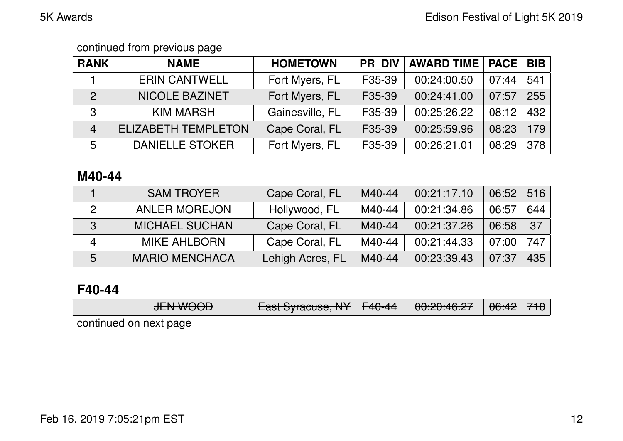| <b>RANK</b>    | <b>NAME</b>                | <b>HOMETOWN</b> | <b>PR DIV</b>       | <b>AWARD TIME</b> | <b>PACE</b> | <b>BIB</b> |
|----------------|----------------------------|-----------------|---------------------|-------------------|-------------|------------|
|                | <b>ERIN CANTWELL</b>       | Fort Myers, FL  | F35-39              | 00:24:00.50       | 07:44       | 541        |
| 2              | <b>NICOLE BAZINET</b>      | Fort Myers, FL  | F35-39              | 00:24:41.00       | 07:57       | 255        |
| 3              | <b>KIM MARSH</b>           | Gainesville, FL | F35-39              | 00:25:26.22       | 08:12       | 432        |
| $\overline{4}$ | <b>ELIZABETH TEMPLETON</b> | Cape Coral, FL  | F35-39              | 00:25:59.96       | 08:23       | 179        |
| 5              | <b>DANIELLE STOKER</b>     | Fort Myers, FL  | F <sub>35</sub> -39 | 00:26:21.01       | 08:29       | 378        |

### **M40-44**

|   | <b>SAM TROYER</b>     | Cape Coral, FL   | M40-44 | 00:21:17.10 | 06:52 | 516 |
|---|-----------------------|------------------|--------|-------------|-------|-----|
|   | <b>ANLER MOREJON</b>  | Hollywood, FL    | M40-44 | 00:21:34.86 | 06:57 | 644 |
| 3 | <b>MICHAEL SUCHAN</b> | Cape Coral, FL   | M40-44 | 00:21:37.26 | 06:58 | 37  |
| Δ | <b>MIKE AHLBORN</b>   | Cape Coral, FL   | M40-44 | 00:21:44.33 | 07:00 | 747 |
| 5 | <b>MARIO MENCHACA</b> | Lehigh Acres, FL | M40-44 | 00:23:39.43 | 07:37 | 435 |

# **F40-44**

| ITNINIOMD<br><del>JLIV WUUU</del> | $L_{\text{ext}}$ $C_{\text{t}}$ $\mu_{\text{t}}$ $\mu_{\text{t}}$ $\mu_{\text{t}}$ $\mu_{\text{t}}$ | <del>00:20:46.27</del> │ <del>06:42</del> │ <del>710</del> │ |  |
|-----------------------------------|-----------------------------------------------------------------------------------------------------|--------------------------------------------------------------|--|
|                                   |                                                                                                     |                                                              |  |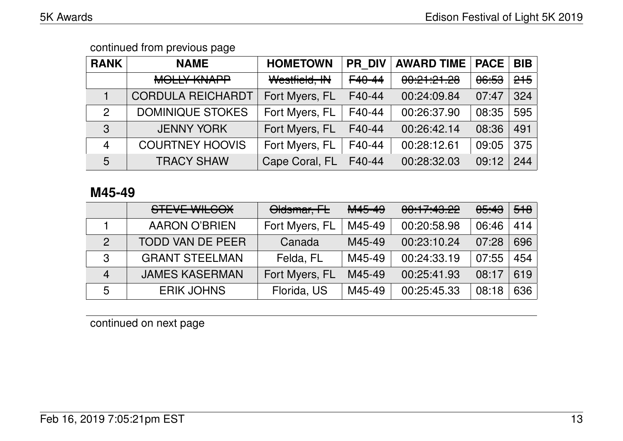| <b>RANK</b>    | <b>NAME</b>              | <b>HOMETOWN</b> | <b>PR DIV</b> | <b>AWARD TIME</b>                | <b>PACE</b>      | <b>BIB</b>     |
|----------------|--------------------------|-----------------|---------------|----------------------------------|------------------|----------------|
|                | <b>MOLLY KNAPP</b>       | Westfield, IN   | F40-44        | 0.01.01.00<br><u>UU.CT.CT.CU</u> | <del>06:53</del> | <del>215</del> |
|                | <b>CORDULA REICHARDT</b> | Fort Myers, FL  | F40-44        | 00:24:09.84                      | 07:47            | 324            |
| $\mathcal{P}$  | <b>DOMINIQUE STOKES</b>  | Fort Myers, FL  | F40-44        | 00:26:37.90                      | 08:35            | 595            |
| 3              | <b>JENNY YORK</b>        | Fort Myers, FL  | F40-44        | 00:26:42.14                      | 08:36            | 491            |
| $\overline{4}$ | <b>COURTNEY HOOVIS</b>   | Fort Myers, FL  | F40-44        | 00:28:12.61                      | 09:05            | 375            |
| 5              | <b>TRACY SHAW</b>        | Cape Coral, FL  | F40-44        | 00:28:32.03                      | 09:12            | 244            |

### **M45-49**

|                | STEVE WILCOX            | Oldsmar, FL    | M45-49 | 00:17:43.22 | <del>05:43</del> | 518 |
|----------------|-------------------------|----------------|--------|-------------|------------------|-----|
|                | <b>AARON O'BRIEN</b>    | Fort Myers, FL | M45-49 | 00:20:58.98 | 06:46            | 414 |
| $\mathcal{P}$  | <b>TODD VAN DE PEER</b> | Canada         | M45-49 | 00:23:10.24 | 07:28            | 696 |
| 3              | <b>GRANT STEELMAN</b>   | Felda, FL      | M45-49 | 00:24:33.19 | 07:55            | 454 |
| $\overline{4}$ | <b>JAMES KASERMAN</b>   | Fort Myers, FL | M45-49 | 00:25:41.93 | 08:17            | 619 |
| 5              | <b>ERIK JOHNS</b>       | Florida, US    | M45-49 | 00:25:45.33 | 08:18            | 636 |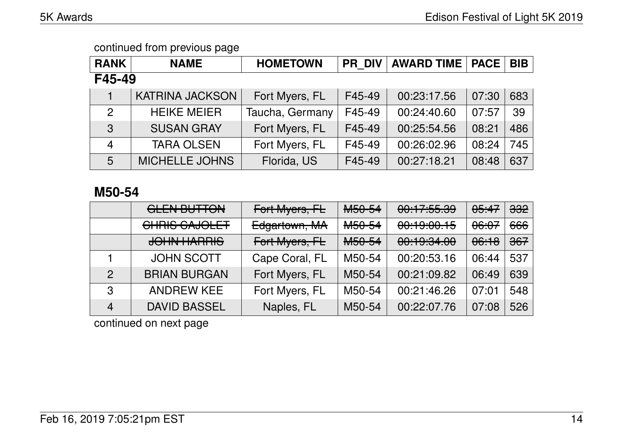| <b>RANK</b> | <b>NAME</b>            | <b>HOMETOWN</b> | <b>PR DIV</b> | <b>AWARD TIME</b> | <b>PACE</b> | <b>BIB</b> |  |  |  |
|-------------|------------------------|-----------------|---------------|-------------------|-------------|------------|--|--|--|
| F45-49      |                        |                 |               |                   |             |            |  |  |  |
|             | <b>KATRINA JACKSON</b> | Fort Myers, FL  | F45-49        | 00:23:17.56       | 07:30       | 683        |  |  |  |
| 2           | <b>HEIKE MEIER</b>     | Taucha, Germany | F45-49        | 00:24:40.60       | 07:57       | 39         |  |  |  |
| 3           | <b>SUSAN GRAY</b>      | Fort Myers, FL  | F45-49        | 00:25:54.56       | 08:21       | 486        |  |  |  |
| 4           | <b>TARA OLSEN</b>      | Fort Myers, FL  | F45-49        | 00:26:02.96       | 08:24       | 745        |  |  |  |
| 5           | <b>MICHELLE JOHNS</b>  | Florida, US     | F45-49        | 00:27:18.21       | 08:48       | 637        |  |  |  |

### **M50-54**

|                | <b>GLEN BUTTON</b>  | Fort Myers, FL | M <sub>50-54</sub>                 | 0.17.55.00<br><u>UU.TT.JJ.JJ</u>                                                                                                                                                                                                                                                                                                                                                                                                                                                        | 05:47            | <del>332</del> |
|----------------|---------------------|----------------|------------------------------------|-----------------------------------------------------------------------------------------------------------------------------------------------------------------------------------------------------------------------------------------------------------------------------------------------------------------------------------------------------------------------------------------------------------------------------------------------------------------------------------------|------------------|----------------|
|                | CHRIS CAJOLET       | Edgartown, MA  | M <sub>50-54</sub>                 | 00:19:00.15                                                                                                                                                                                                                                                                                                                                                                                                                                                                             | <del>06:07</del> | 666            |
|                | <b>JOHN HARRIS</b>  | Fort Myers, FL | MLO <sub>L</sub><br><b>NUUU-JF</b> | $\begin{array}{c}\n\text{A} \\ \text{A} \\ \text{A} \\ \text{A} \\ \text{A} \\ \text{A} \\ \text{A} \\ \text{A} \\ \text{A} \\ \text{A} \\ \text{A} \\ \text{A} \\ \text{A} \\ \text{A} \\ \text{A} \\ \text{A} \\ \text{A} \\ \text{A} \\ \text{A} \\ \text{A} \\ \text{A} \\ \text{A} \\ \text{A} \\ \text{A} \\ \text{A} \\ \text{A} \\ \text{A} \\ \text{A} \\ \text{A} \\ \text{A} \\ \text{A} \\ \text{A} \\ \text{A} \\ \text{A} \\ \text{A} \\ \text$<br><del>00.19.04.00</del> | <del>06:18</del> | $367$          |
|                | <b>JOHN SCOTT</b>   | Cape Coral, FL | M50-54                             | 00:20:53.16                                                                                                                                                                                                                                                                                                                                                                                                                                                                             | 06:44            | 537            |
| $\mathcal{P}$  | <b>BRIAN BURGAN</b> | Fort Myers, FL | M50-54                             | 00:21:09.82                                                                                                                                                                                                                                                                                                                                                                                                                                                                             | 06:49            | 639            |
| 3              | <b>ANDREW KEE</b>   | Fort Myers, FL | M50-54                             | 00:21:46.26                                                                                                                                                                                                                                                                                                                                                                                                                                                                             | 07:01            | 548            |
| $\overline{4}$ | <b>DAVID BASSEL</b> | Naples, FL     | M50-54                             | 00:22:07.76                                                                                                                                                                                                                                                                                                                                                                                                                                                                             | 07:08            | 526            |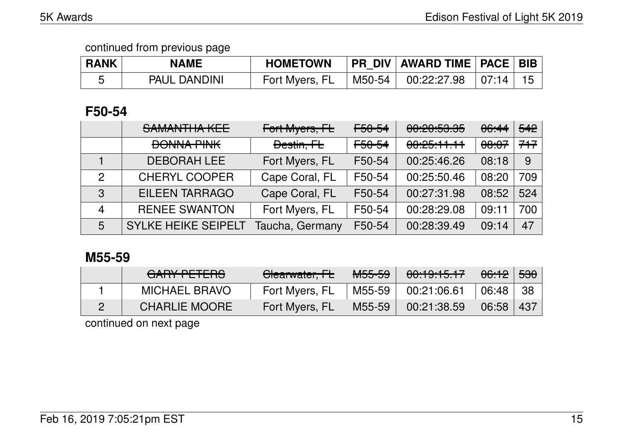| <b>RANK</b> | NAME                | <b>HOMETOWN</b> |          | PR_DIV   AWARD TIME   PACE   BIB |          |  |
|-------------|---------------------|-----------------|----------|----------------------------------|----------|--|
|             | <b>PAUL DANDINI</b> | Fort Myers, FL  | M50-54 L | 00:22:27.98                      | $+07:14$ |  |

### **F50-54**

|               | SAMANTHA KEE               | Fort Myers, FL  | F50-54 | 0.00500<br><u>UU.ZU.JJ.JJ</u> | <del>06:44</del> | 542 |
|---------------|----------------------------|-----------------|--------|-------------------------------|------------------|-----|
|               | <b>BONNA PINK</b>          | Destin, FL      | F50-54 | 00:25:11.11                   | <del>08:07</del> | 717 |
|               | <b>DEBORAH LEE</b>         | Fort Myers, FL  | F50-54 | 00:25:46.26                   | 08:18            | 9   |
| $\mathcal{P}$ | <b>CHERYL COOPER</b>       | Cape Coral, FL  | F50-54 | 00:25:50.46                   | 08:20            | 709 |
| 3             | <b>EILEEN TARRAGO</b>      | Cape Coral, FL  | F50-54 | 00:27:31.98                   | 08:52            | 524 |
| 4             | <b>RENEE SWANTON</b>       | Fort Myers, FL  | F50-54 | 00:28:29.08                   | 09:11            | 700 |
| 5             | <b>SYLKE HEIKE SEIPELT</b> | Taucha, Germany | F50-54 | 00:28:39.49                   | 09:14            | 47  |

### **M55-59**

| CADV DETEDQ<br><u>UAITTE ETENO</u> | Clearwater, FL | <b>M55-59</b> | 00:19:15.17 | <del>06:12</del> ∃ <del>530</del> |     |
|------------------------------------|----------------|---------------|-------------|-----------------------------------|-----|
| <b>MICHAEL BRAVO</b>               | Fort Myers, FL | M55-59        | 00:21:06.61 | 06:48                             | -38 |
| <b>CHARLIE MOORE</b>               | Fort Myers, FL | M55-59        | 00:21:38.59 | 06:58                             | 437 |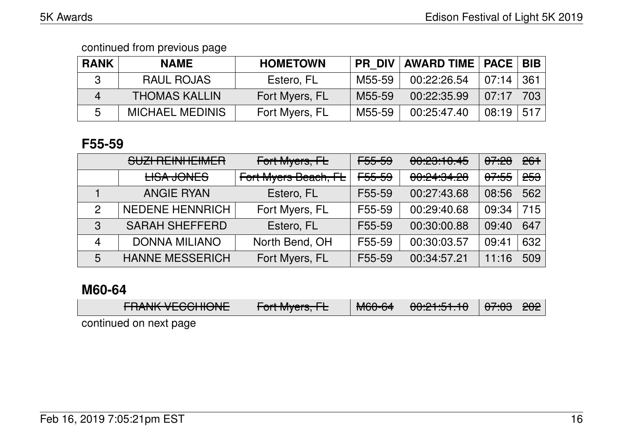| <b>RANK</b> | <b>NAME</b>            | <b>HOMETOWN</b> | <b>PR DIV</b> | AWARD TIME   PACE   BIB |       |     |
|-------------|------------------------|-----------------|---------------|-------------------------|-------|-----|
|             | <b>RAUL ROJAS</b>      | Estero, FL      | M55-59        | 00:22:26.54             | 07:14 | 361 |
|             | <b>THOMAS KALLIN</b>   | Fort Myers, FL  | M55-59        | 00:22:35.99             | 07:17 | 703 |
| 5           | <b>MICHAEL MEDINIS</b> | Fort Myers, FL  | M55-59        | 00:25:47.40             | 08:19 | 517 |

### **F55-59**

|   | SUZI REINHEIMER        | Fort Myers, FL       | <del>F55-59</del> | 00:23:10.45 | <del>07:28</del> | 261            |
|---|------------------------|----------------------|-------------------|-------------|------------------|----------------|
|   | <b>LISA JONES</b>      | Fort Myers Beach, FL | <del>F55-59</del> | 00:24:34.28 | <del>07:55</del> | <del>253</del> |
|   | <b>ANGIE RYAN</b>      | Estero, FL           | F55-59            | 00:27:43.68 | 08:56            | 562            |
| 2 | <b>NEDENE HENNRICH</b> | Fort Myers, FL       | F55-59            | 00:29:40.68 | 09:34            | 715            |
| 3 | <b>SARAH SHEFFERD</b>  | Estero, FL           | F55-59            | 00:30:00.88 | 09:40            | 647            |
| 4 | <b>DONNA MILIANO</b>   | North Bend, OH       | F55-59            | 00:30:03.57 | 09:41            | 632            |
| 5 | <b>HANNE MESSERICH</b> | Fort Myers, FL       | F55-59            | 00:34:57.21 | 11:16            | 509            |

# **M60-64**

| <b>TUANIS VECCHICIVE</b> | $\Gamma$ <sub>A</sub> $\mu$ M, $\mu$ <sub>A</sub> $\mu$<br>$\tau$ UITIVIYCIS, TE | $\mathbf{N}$ $\mathbf{A}$ $\mathbf{A}$<br><del>NUU UT</del> | 0.01.01.01.40<br><del>00.21.31.10</del> | $\Delta$ 7.00 000<br>$1.07.05$ 202 |  |
|--------------------------|----------------------------------------------------------------------------------|-------------------------------------------------------------|-----------------------------------------|------------------------------------|--|
|                          |                                                                                  |                                                             |                                         |                                    |  |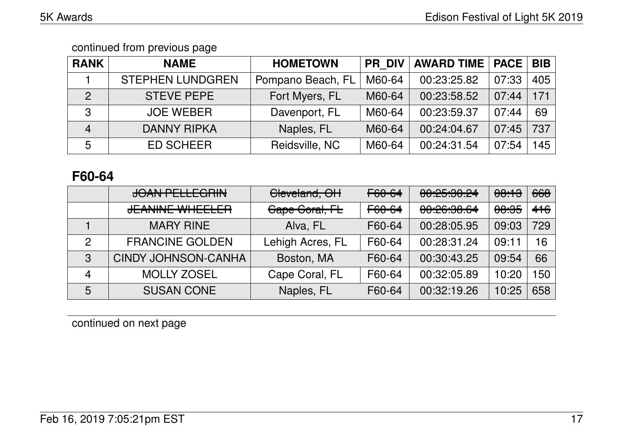| <b>RANK</b>    | <b>NAME</b>             | <b>HOMETOWN</b>   | <b>PR DIV</b> | <b>AWARD TIME</b> | <b>PACE</b> | <b>BIB</b> |
|----------------|-------------------------|-------------------|---------------|-------------------|-------------|------------|
|                | <b>STEPHEN LUNDGREN</b> | Pompano Beach, FL | M60-64        | 00:23:25.82       | 07:33       | 405        |
| 2              | <b>STEVE PEPE</b>       | Fort Myers, FL    | M60-64        | 00:23:58.52       | 07:44       | 171        |
| 3              | <b>JOE WEBER</b>        | Davenport, FL     | M60-64        | 00:23:59.37       | 07:44       | 69         |
| $\overline{4}$ | <b>DANNY RIPKA</b>      | Naples, FL        | M60-64        | 00:24:04.67       | 07:45       | 737        |
| 5              | <b>ED SCHEER</b>        | Reidsville, NC    | M60-64        | 00:24:31.54       | 07:54       | 45         |

### **F60-64**

|   | <b>JOAN PELLEGRIN</b>      | Cleveland, OH    | F60-64 | 0.05.00.04<br><b>00.60.00.69</b>           | <del>08:13</del> | 668 |
|---|----------------------------|------------------|--------|--------------------------------------------|------------------|-----|
|   | <b>JEANINE WHEELER</b>     | Cape Coral, FL   | F60-64 | 0.00.0000<br><u><del>UU.CU.UU.UT</del></u> | <del>08:35</del> | 416 |
|   | <b>MARY RINE</b>           | Alva, FL         | F60-64 | 00:28:05.95                                | 09:03            | 729 |
| 2 | <b>FRANCINE GOLDEN</b>     | Lehigh Acres, FL | F60-64 | 00:28:31.24                                | 09:11            | 16  |
| 3 | <b>CINDY JOHNSON-CANHA</b> | Boston, MA       | F60-64 | 00:30:43.25                                | 09:54            | 66  |
|   | <b>MOLLY ZOSEL</b>         | Cape Coral, FL   | F60-64 | 00:32:05.89                                | 10:20            | 150 |
| 5 | <b>SUSAN CONE</b>          | Naples, FL       | F60-64 | 00:32:19.26                                | 10:25            | 658 |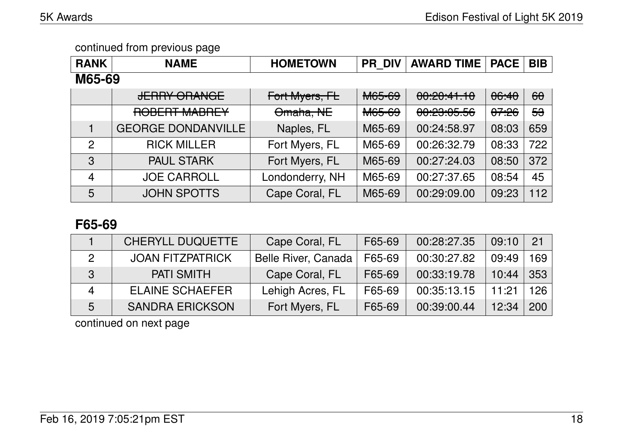| <b>RANK</b>    | <b>NAME</b>                                    | <b>HOMETOWN</b> | <b>PR DIV</b> | <b>AWARD TIME</b> | <b>PACE</b> | <b>BIB</b>    |
|----------------|------------------------------------------------|-----------------|---------------|-------------------|-------------|---------------|
| M65-69         |                                                |                 |               |                   |             |               |
|                | <b>IFDDV ODANCE</b><br><del>JENNI ONANGE</del> | Fort Myers, FL  | <b>M65-69</b> | 00:20:41.10       | 06:40       | $\theta$      |
|                | DADEDT MADDEV<br><b>WADNET</b><br>nopen        | Omaha, NE       | <b>M65-69</b> | 00:23:05.56       | 07.26       | <del>53</del> |
|                | <b>GEORGE DONDANVILLE</b>                      | Naples, FL      | M65-69        | 00:24:58.97       | 08:03       | 659           |
| $\overline{2}$ | <b>RICK MILLER</b>                             | Fort Myers, FL  | M65-69        | 00:26:32.79       | 08:33       | 722           |
| 3              | <b>PAUL STARK</b>                              | Fort Myers, FL  | M65-69        | 00:27:24.03       | 08:50       | 372           |
| $\overline{4}$ | <b>JOE CARROLL</b>                             | Londonderry, NH | M65-69        | 00:27:37.65       | 08:54       | 45            |
| 5              | <b>JOHN SPOTTS</b>                             | Cape Coral, FL  | M65-69        | 00:29:09.00       | 09:23       | 112           |

### **F65-69**

|   | <b>CHERYLL DUQUETTE</b> | Cape Coral, FL             | F65-69 | 00:28:27.35 | 09:10 | 21  |
|---|-------------------------|----------------------------|--------|-------------|-------|-----|
|   | <b>JOAN FITZPATRICK</b> | <b>Belle River, Canada</b> | F65-69 | 00:30:27.82 | 09:49 | 169 |
| 3 | <b>PATI SMITH</b>       | Cape Coral, FL             | F65-69 | 00:33:19.78 | 10:44 | 353 |
| Δ | <b>ELAINE SCHAEFER</b>  | Lehigh Acres, FL           | F65-69 | 00:35:13.15 | 11:21 | 126 |
| 5 | <b>SANDRA ERICKSON</b>  | Fort Myers, FL             | F65-69 | 00:39:00.44 | 12:34 | 200 |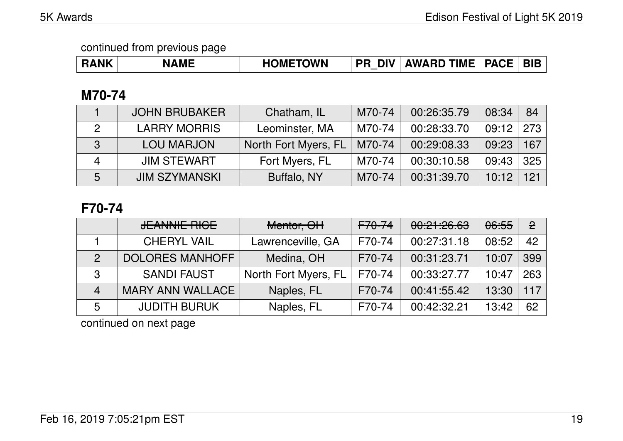### **M70-74**

|   | <b>JOHN BRUBAKER</b> | Chatham, IL          | M70-74 | 00:26:35.79 | 08:34 | 84           |
|---|----------------------|----------------------|--------|-------------|-------|--------------|
| 2 | <b>LARRY MORRIS</b>  | Leominster, MA       | M70-74 | 00:28:33.70 | 09:12 | 273          |
| 3 | <b>LOU MARJON</b>    | North Fort Myers, FL | M70-74 | 00:29:08.33 | 09:23 | $\sqrt{167}$ |
|   | <b>JIM STEWART</b>   | Fort Myers, FL       | M70-74 | 00:30:10.58 | 09:43 | 325          |
| 5 | <b>JIM SZYMANSKI</b> | Buffalo, NY          | M70-74 | 00:31:39.70 | 10:12 | 121          |

# **F70-74**

|                | <b>JEANNIE RIGE</b>     | Mentor, OH           | <del>F70-74</del> | 00:21:26.63 | 06:55 | $\mathbf{P}$ |
|----------------|-------------------------|----------------------|-------------------|-------------|-------|--------------|
|                | <b>CHERYL VAIL</b>      | Lawrenceville, GA    | F70-74            | 00:27:31.18 | 08:52 | 42           |
|                | <b>DOLORES MANHOFF</b>  | Medina, OH           | F70-74            | 00:31:23.71 | 10:07 | 399          |
| 3              | <b>SANDI FAUST</b>      | North Fort Myers, FL | F70-74            | 00:33:27.77 | 10:47 | 263          |
| $\overline{4}$ | <b>MARY ANN WALLACE</b> | Naples, FL           | F70-74            | 00:41:55.42 | 13:30 | 117          |
| 5              | <b>JUDITH BURUK</b>     | Naples, FL           | F70-74            | 00:42:32.21 | 13:42 | 62           |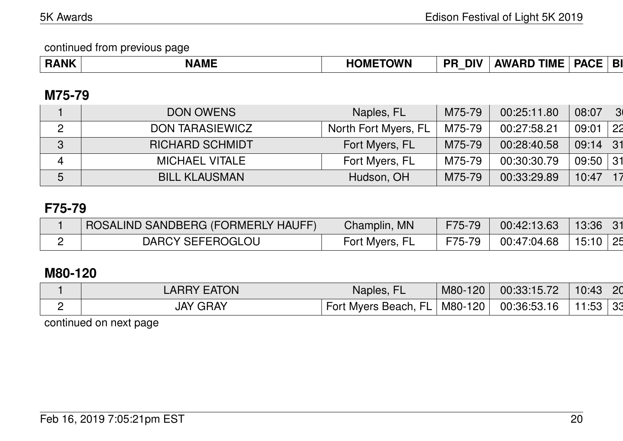| <b>ANK</b><br>----<br><b>NAML</b> | <b>ETOWN</b><br>.)MF | <b>DF</b><br><b>DIV</b><br>_ | -------<br>AW 4<br>'IMI | $\blacksquare$ $\blacksquare$ |  |
|-----------------------------------|----------------------|------------------------------|-------------------------|-------------------------------|--|
|-----------------------------------|----------------------|------------------------------|-------------------------|-------------------------------|--|

### **M75-79**

|        | <b>DON OWENS</b>       | Naples, FL           | M75-79 | 00:25:11.80 | 08:07      | 3 <sub>0</sub> |
|--------|------------------------|----------------------|--------|-------------|------------|----------------|
| Ω<br>▃ | DON TARASIEWICZ        | North Fort Myers, FL | M75-79 | 00:27:58.21 | 09:01      | 22             |
| 3      | <b>RICHARD SCHMIDT</b> | Fort Myers, FL       | M75-79 | 00:28:40.58 | 09:14      | 31             |
| 4      | <b>MICHAEL VITALE</b>  | Fort Myers, FL       | M75-79 | 00:30:30.79 | $09:50$ 31 |                |
| 5      | <b>BILL KLAUSMAN</b>   | Hudson, OH           | M75-79 | 00:33:29.89 | 10:47      |                |

# **F75-79**

| ROSALIND SANDBERG (FORMERLY HAUFF) | Champlin, MN   | F75-79 | 00:42:13.63 | 13:36    |
|------------------------------------|----------------|--------|-------------|----------|
| DARCY SEFEROGLOU                   | Fort Myers, FL | F75-79 | 00:47:04.68 | 15:10 25 |

# **M80-120**

| <b>LARRY EATON</b> | Naples, FL           | M80-120               | 00:33:15.72 | 10:43<br><b>20</b> |
|--------------------|----------------------|-----------------------|-------------|--------------------|
| <b>JAY GRAY</b>    | Fort Myers Beach, FL | $\mid$ M80-120 $\mid$ | 00:36:53.16 | 11:53<br>33        |